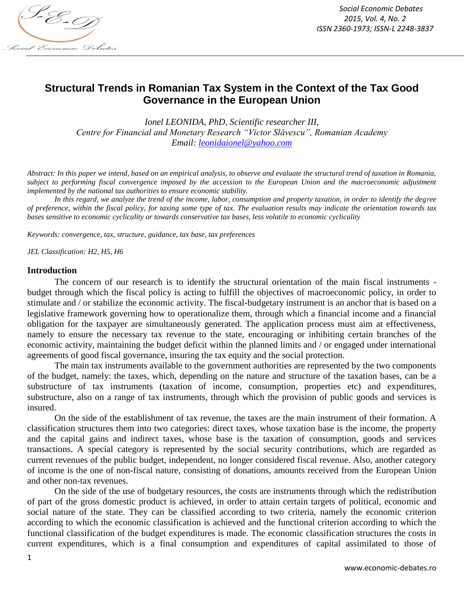

*Social Economic Debates 2015, Vol. 4, No. 2 ISSN 2360-1973; ISSN-L 2248-3837*

# **Structural Trends in Romanian Tax System in the Context of the Tax Good Governance in the European Union**

*Ionel LEONIDA, PhD, Scientific researcher III, Centre for Financial and Monetary Research "Victor Slăvescu", Romanian Academy Email: [leonidaionel@yahoo.com](mailto:leonidaionel@yahoo.com)*

*Abstract: In this paper we intend, based on an empirical analysis, to observe and evaluate the structural trend of taxation in Romania, subject to performing fiscal convergence imposed by the accession to the European Union and the macroeconomic adjustment implemented by the national tax authorities to ensure economic stability.*

*In this regard, we analyze the trend of the income, labor, consumption and property taxation, in order to identify the degree of preference, within the fiscal policy, for taxing some type of tax. The evaluation results may indicate the orientation towards tax bases sensitive to economic cyclicality or towards conservative tax bases, less volatile to economic cyclicality* 

*Keywords: convergence, tax, structure, guidance, tax base, tax preferences*

*JEL Classification: H2, H5, H6*

### **Introduction**

The concern of our research is to identify the structural orientation of the main fiscal instruments budget through which the fiscal policy is acting to fulfill the objectives of macroeconomic policy, in order to stimulate and / or stabilize the economic activity. The fiscal-budgetary instrument is an anchor that is based on a legislative framework governing how to operationalize them, through which a financial income and a financial obligation for the taxpayer are simultaneously generated. The application process must aim at effectiveness, namely to ensure the necessary tax revenue to the state, encouraging or inhibiting certain branches of the economic activity, maintaining the budget deficit within the planned limits and / or engaged under international agreements of good fiscal governance, insuring the tax equity and the social protection.

The main tax instruments available to the government authorities are represented by the two components of the budget, namely: the taxes, which, depending on the nature and structure of the taxation bases, can be a substructure of tax instruments (taxation of income, consumption, properties etc) and expenditures, substructure, also on a range of tax instruments, through which the provision of public goods and services is insured.

On the side of the establishment of tax revenue, the taxes are the main instrument of their formation. A classification structures them into two categories: direct taxes, whose taxation base is the income, the property and the capital gains and indirect taxes, whose base is the taxation of consumption, goods and services transactions. A special category is represented by the social security contributions, which are regarded as current revenues of the public budget, independent, no longer considered fiscal revenue. Also, another category of income is the one of non-fiscal nature, consisting of donations, amounts received from the European Union and other non-tax revenues.

On the side of the use of budgetary resources, the costs are instruments through which the redistribution of part of the gross domestic product is achieved, in order to attain certain targets of political, economic and social nature of the state. They can be classified according to two criteria, namely the economic criterion according to which the economic classification is achieved and the functional criterion according to which the functional classification of the budget expenditures is made. The economic classification structures the costs in current expenditures, which is a final consumption and expenditures of capital assimilated to those of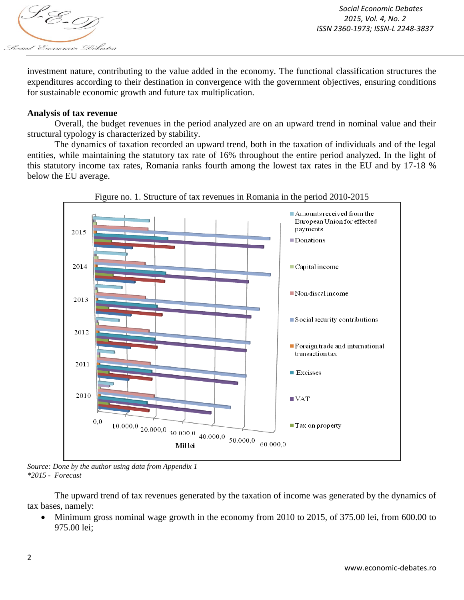

investment nature, contributing to the value added in the economy. The functional classification structures the expenditures according to their destination in convergence with the government objectives, ensuring conditions for sustainable economic growth and future tax multiplication.

### **Analysis of tax revenue**

Overall, the budget revenues in the period analyzed are on an upward trend in nominal value and their structural typology is characterized by stability.

The dynamics of taxation recorded an upward trend, both in the taxation of individuals and of the legal entities, while maintaining the statutory tax rate of 16% throughout the entire period analyzed. In the light of this statutory income tax rates, Romania ranks fourth among the lowest tax rates in the EU and by 17-18 % below the EU average.





*Source: Done by the author using data from Appendix 1 \*2015 - Forecast*

The upward trend of tax revenues generated by the taxation of income was generated by the dynamics of tax bases, namely:

 Minimum gross nominal wage growth in the economy from 2010 to 2015, of 375.00 lei, from 600.00 to 975.00 lei;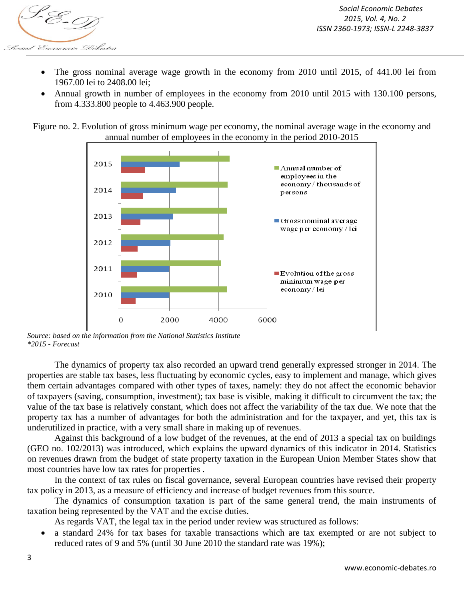

- The gross nominal average wage growth in the economy from 2010 until 2015, of 441.00 lei from 1967.00 lei to 2408.00 lei;
- Annual growth in number of employees in the economy from 2010 until 2015 with 130.100 persons, from 4.333.800 people to 4.463.900 people.

Figure no. 2. Evolution of gross minimum wage per economy, the nominal average wage in the economy and annual number of employees in the economy in the period 2010-2015



*Source: based on the information from the National Statistics Institute \*2015 - Forecast*

The dynamics of property tax also recorded an upward trend generally expressed stronger in 2014. The properties are stable tax bases, less fluctuating by economic cycles, easy to implement and manage, which gives them certain advantages compared with other types of taxes, namely: they do not affect the economic behavior of taxpayers (saving, consumption, investment); tax base is visible, making it difficult to circumvent the tax; the value of the tax base is relatively constant, which does not affect the variability of the tax due. We note that the property tax has a number of advantages for both the administration and for the taxpayer, and yet, this tax is underutilized in practice, with a very small share in making up of revenues.

Against this background of a low budget of the revenues, at the end of 2013 a special tax on buildings (GEO no. 102/2013) was introduced, which explains the upward dynamics of this indicator in 2014. Statistics on revenues drawn from the budget of state property taxation in the European Union Member States show that most countries have low tax rates for properties .

In the context of tax rules on fiscal governance, several European countries have revised their property tax policy in 2013, as a measure of efficiency and increase of budget revenues from this source.

The dynamics of consumption taxation is part of the same general trend, the main instruments of taxation being represented by the VAT and the excise duties.

As regards VAT, the legal tax in the period under review was structured as follows:

 a standard 24% for tax bases for taxable transactions which are tax exempted or are not subject to reduced rates of 9 and 5% (until 30 June 2010 the standard rate was 19%);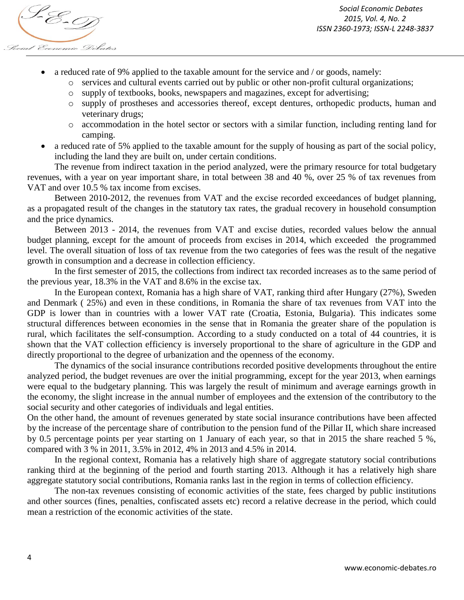

*Social Economic Debates 2015, Vol. 4, No. 2 ISSN 2360-1973; ISSN-L 2248-3837*

- a reduced rate of 9% applied to the taxable amount for the service and / or goods, namely:
	- o services and cultural events carried out by public or other non-profit cultural organizations;
	- o supply of textbooks, books, newspapers and magazines, except for advertising;
	- o supply of prostheses and accessories thereof, except dentures, orthopedic products, human and veterinary drugs;
	- o accommodation in the hotel sector or sectors with a similar function, including renting land for camping.
- a reduced rate of 5% applied to the taxable amount for the supply of housing as part of the social policy, including the land they are built on, under certain conditions.

The revenue from indirect taxation in the period analyzed, were the primary resource for total budgetary revenues, with a year on year important share, in total between 38 and 40 %, over 25 % of tax revenues from VAT and over 10.5 % tax income from excises.

Between 2010-2012, the revenues from VAT and the excise recorded exceedances of budget planning, as a propagated result of the changes in the statutory tax rates, the gradual recovery in household consumption and the price dynamics.

Between 2013 - 2014, the revenues from VAT and excise duties, recorded values below the annual budget planning, except for the amount of proceeds from excises in 2014, which exceeded the programmed level. The overall situation of loss of tax revenue from the two categories of fees was the result of the negative growth in consumption and a decrease in collection efficiency.

In the first semester of 2015, the collections from indirect tax recorded increases as to the same period of the previous year, 18.3% in the VAT and 8.6% in the excise tax.

In the European context, Romania has a high share of VAT, ranking third after Hungary (27%), Sweden and Denmark ( 25%) and even in these conditions, in Romania the share of tax revenues from VAT into the GDP is lower than in countries with a lower VAT rate (Croatia, Estonia, Bulgaria). This indicates some structural differences between economies in the sense that in Romania the greater share of the population is rural, which facilitates the self-consumption. According to a study conducted on a total of 44 countries, it is shown that the VAT collection efficiency is inversely proportional to the share of agriculture in the GDP and directly proportional to the degree of urbanization and the openness of the economy.

The dynamics of the social insurance contributions recorded positive developments throughout the entire analyzed period, the budget revenues are over the initial programming, except for the year 2013, when earnings were equal to the budgetary planning. This was largely the result of minimum and average earnings growth in the economy, the slight increase in the annual number of employees and the extension of the contributory to the social security and other categories of individuals and legal entities.

On the other hand, the amount of revenues generated by state social insurance contributions have been affected by the increase of the percentage share of contribution to the pension fund of the Pillar II, which share increased by 0.5 percentage points per year starting on 1 January of each year, so that in 2015 the share reached 5 %, compared with 3 % in 2011, 3.5% in 2012, 4% in 2013 and 4.5% in 2014.

In the regional context, Romania has a relatively high share of aggregate statutory social contributions ranking third at the beginning of the period and fourth starting 2013. Although it has a relatively high share aggregate statutory social contributions, Romania ranks last in the region in terms of collection efficiency.

The non-tax revenues consisting of economic activities of the state, fees charged by public institutions and other sources (fines, penalties, confiscated assets etc) record a relative decrease in the period, which could mean a restriction of the economic activities of the state.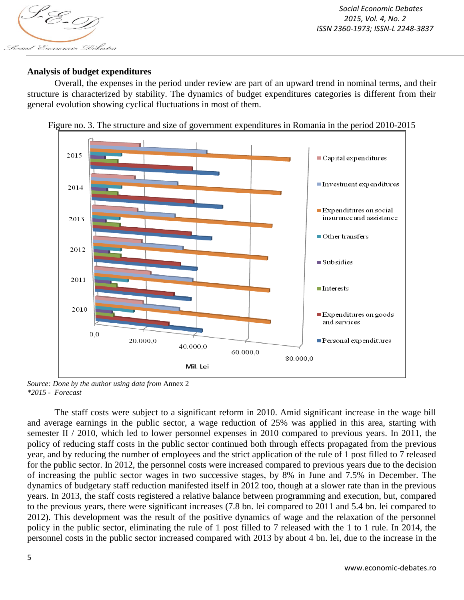

# **Analysis of budget expenditures**

Overall, the expenses in the period under review are part of an upward trend in nominal terms, and their structure is characterized by stability. The dynamics of budget expenditures categories is different from their general evolution showing cyclical fluctuations in most of them.





*Source: Done by the author using data from* Annex 2 *\*2015 - Forecast*

The staff costs were subject to a significant reform in 2010. Amid significant increase in the wage bill and average earnings in the public sector, a wage reduction of 25% was applied in this area, starting with semester II / 2010, which led to lower personnel expenses in 2010 compared to previous years. In 2011, the policy of reducing staff costs in the public sector continued both through effects propagated from the previous year, and by reducing the number of employees and the strict application of the rule of 1 post filled to 7 released for the public sector. In 2012, the personnel costs were increased compared to previous years due to the decision of increasing the public sector wages in two successive stages, by 8% in June and 7.5% in December. The dynamics of budgetary staff reduction manifested itself in 2012 too, though at a slower rate than in the previous years. In 2013, the staff costs registered a relative balance between programming and execution, but, compared to the previous years, there were significant increases (7.8 bn. lei compared to 2011 and 5.4 bn. lei compared to 2012). This development was the result of the positive dynamics of wage and the relaxation of the personnel policy in the public sector, eliminating the rule of 1 post filled to 7 released with the 1 to 1 rule. In 2014, the personnel costs in the public sector increased compared with 2013 by about 4 bn. lei, due to the increase in the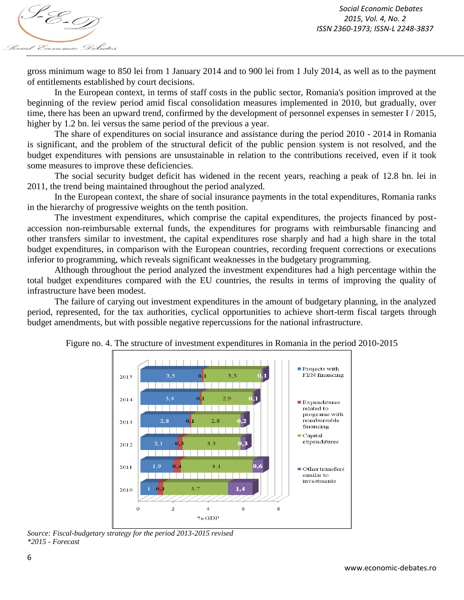

gross minimum wage to 850 lei from 1 January 2014 and to 900 lei from 1 July 2014, as well as to the payment of entitlements established by court decisions.

In the European context, in terms of staff costs in the public sector, Romania's position improved at the beginning of the review period amid fiscal consolidation measures implemented in 2010, but gradually, over time, there has been an upward trend, confirmed by the development of personnel expenses in semester I / 2015, higher by 1.2 bn. lei versus the same period of the previous a year.

The share of expenditures on social insurance and assistance during the period 2010 - 2014 in Romania is significant, and the problem of the structural deficit of the public pension system is not resolved, and the budget expenditures with pensions are unsustainable in relation to the contributions received, even if it took some measures to improve these deficiencies.

The social security budget deficit has widened in the recent years, reaching a peak of 12.8 bn. lei in 2011, the trend being maintained throughout the period analyzed.

In the European context, the share of social insurance payments in the total expenditures, Romania ranks in the hierarchy of progressive weights on the tenth position.

The investment expenditures, which comprise the capital expenditures, the projects financed by postaccession non-reimbursable external funds, the expenditures for programs with reimbursable financing and other transfers similar to investment, the capital expenditures rose sharply and had a high share in the total budget expenditures, in comparison with the European countries, recording frequent corrections or executions inferior to programming, which reveals significant weaknesses in the budgetary programming.

Although throughout the period analyzed the investment expenditures had a high percentage within the total budget expenditures compared with the EU countries, the results in terms of improving the quality of infrastructure have been modest.

The failure of carying out investment expenditures in the amount of budgetary planning, in the analyzed period, represented, for the tax authorities, cyclical opportunities to achieve short-term fiscal targets through budget amendments, but with possible negative repercussions for the national infrastructure.



Figure no. 4. The structure of investment expenditures in Romania in the period 2010-2015

*Source: Fiscal-budgetary strategy for the period 2013-2015 revised \*2015 - Forecast*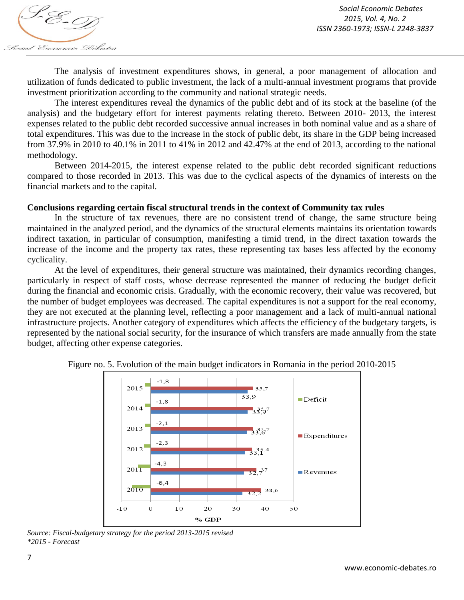The analysis of investment expenditures shows, in general, a poor management of allocation and utilization of funds dedicated to public investment, the lack of a multi-annual investment programs that provide investment prioritization according to the community and national strategic needs.

The interest expenditures reveal the dynamics of the public debt and of its stock at the baseline (of the analysis) and the budgetary effort for interest payments relating thereto. Between 2010- 2013, the interest expenses related to the public debt recorded successive annual increases in both nominal value and as a share of total expenditures. This was due to the increase in the stock of public debt, its share in the GDP being increased from 37.9% in 2010 to 40.1% in 2011 to 41% in 2012 and 42.47% at the end of 2013, according to the national methodology.

Between 2014-2015, the interest expense related to the public debt recorded significant reductions compared to those recorded in 2013. This was due to the cyclical aspects of the dynamics of interests on the financial markets and to the capital.

### **Conclusions regarding certain fiscal structural trends in the context of Community tax rules**

In the structure of tax revenues, there are no consistent trend of change, the same structure being maintained in the analyzed period, and the dynamics of the structural elements maintains its orientation towards indirect taxation, in particular of consumption, manifesting a timid trend, in the direct taxation towards the increase of the income and the property tax rates, these representing tax bases less affected by the economy cyclicality.

At the level of expenditures, their general structure was maintained, their dynamics recording changes, particularly in respect of staff costs, whose decrease represented the manner of reducing the budget deficit during the financial and economic crisis. Gradually, with the economic recovery, their value was recovered, but the number of budget employees was decreased. The capital expenditures is not a support for the real economy, they are not executed at the planning level, reflecting a poor management and a lack of multi-annual national infrastructure projects. Another category of expenditures which affects the efficiency of the budgetary targets, is represented by the national social security, for the insurance of which transfers are made annually from the state budget, affecting other expense categories.



Figure no. 5. Evolution of the main budget indicators in Romania in the period 2010-2015

*Source: Fiscal-budgetary strategy for the period 2013-2015 revised \*2015 - Forecast*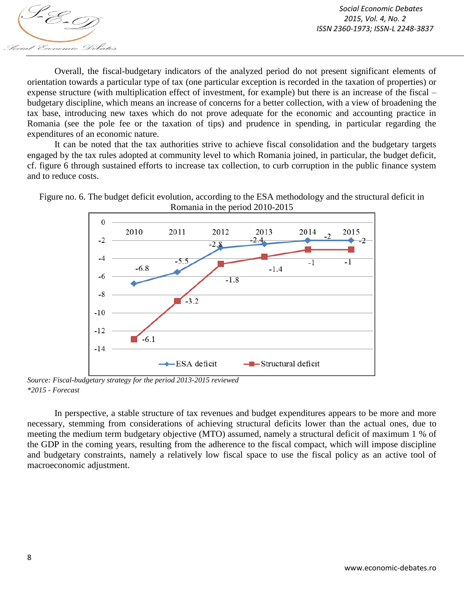

Overall, the fiscal-budgetary indicators of the analyzed period do not present significant elements of orientation towards a particular type of tax (one particular exception is recorded in the taxation of properties) or expense structure (with multiplication effect of investment, for example) but there is an increase of the fiscal – budgetary discipline, which means an increase of concerns for a better collection, with a view of broadening the tax base, introducing new taxes which do not prove adequate for the economic and accounting practice in Romania (see the pole fee or the taxation of tips) and prudence in spending, in particular regarding the expenditures of an economic nature.

It can be noted that the tax authorities strive to achieve fiscal consolidation and the budgetary targets engaged by the tax rules adopted at community level to which Romania joined, in particular, the budget deficit, cf. figure 6 through sustained efforts to increase tax collection, to curb corruption in the public finance system and to reduce costs.



Figure no. 6. The budget deficit evolution, according to the ESA methodology and the structural deficit in Romania in the period 2010-2015

*Source: Fiscal-budgetary strategy for the period 2013-2015 reviewed \*2015 - Forecast*

In perspective, a stable structure of tax revenues and budget expenditures appears to be more and more necessary, stemming from considerations of achieving structural deficits lower than the actual ones, due to meeting the medium term budgetary objective (MTO) assumed, namely a structural deficit of maximum 1 % of the GDP in the coming years, resulting from the adherence to the fiscal compact, which will impose discipline and budgetary constraints, namely a relatively low fiscal space to use the fiscal policy as an active tool of macroeconomic adjustment.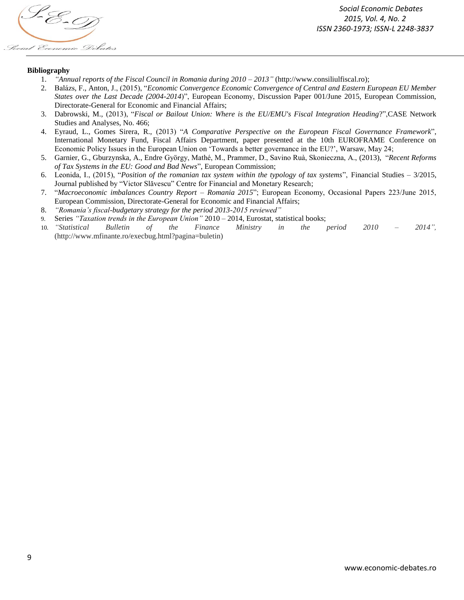

#### **Bibliography**

- 1. *"Annual reports of the Fiscal Council in Romania during 2010 – 2013"* (http://www.consiliulfiscal.ro);
- 2. Balázs, F., Anton, J., (2015), "*Economic Convergence Economic Convergence of Central and Eastern European EU Member States over the Last Decade (2004-2014*)", European Economy, Discussion Paper 001/June 2015, European Commission, Directorate-General for Economic and Financial Affairs;
- 3. Dabrowski, M., (2013), "*Fiscal or Bailout Union: Where is the EU/EMU's Fiscal Integration Heading*?",CASE Network Studies and Analyses, No. 466;
- 4. Eyraud, L., Gomes Sirera, R., (2013) "*A Comparative Perspective on the European Fiscal Governance Framework*", International Monetary Fund, Fiscal Affairs Department, paper presented at the 10th EUROFRAME Conference on Economic Policy Issues in the European Union on 'Towards a better governance in the EU?', Warsaw, May 24;
- 5. Garnier, G., Gburzynska, A., Endre György, Mathé, M., Prammer, D., Savino Ruà, Skonieczna, A., (2013), "*Recent Reforms of Tax Systems in the EU: Good and Bad News*", European Commission;
- 6. Leonida, I., (2015), "*Position of the romanian tax system within the typology of tax systems*", Financial Studies 3/2015, Journal published by "Victor Slăvescu" Centre for Financial and Monetary Research;
- 7. "*Macroeconomic imbalances Country Report – Romania 2015*"; European Economy, Occasional Papers 223/June 2015, European Commission, Directorate-General for Economic and Financial Affairs;
- 8. *"Romania's fiscal-budgetary strategy for the period 2013-2015 reviewed"*
- 9. Series *"Taxation trends in the European Union"* 2010 2014, Eurostat, statistical books;
- 10. *"Statistical Bulletin of the Finance Ministry in the period 2010 – 2014",*  (http://www.mfinante.ro/execbug.html?pagina=buletin)